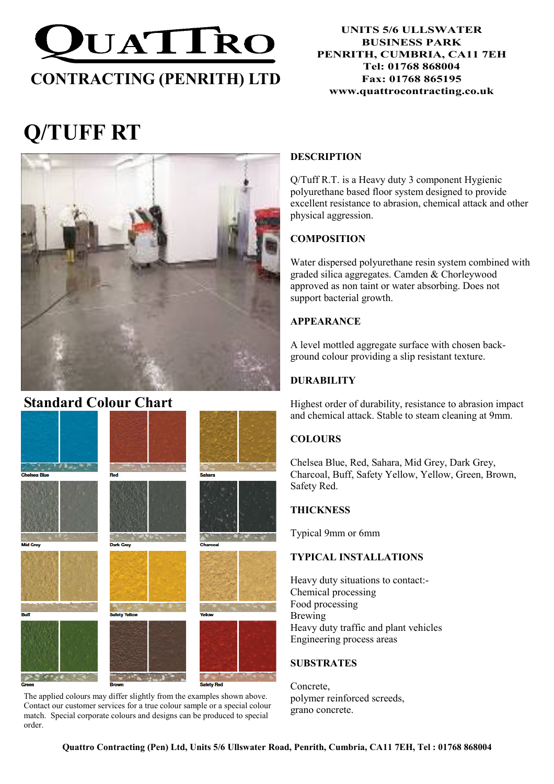

#### UNITS 5/6 ULLSWATER BUSINESS PARK PENRITH, CUMBRIA, CA11 7EH Tel: 01768 868004 Fax: 01768 865195 www.quattrocontracting.co.uk

# Q/TUFF RT



# Standard Colour Chart



The applied colours may differ slightly from the examples shown above. Contact our customer services for a true colour sample or a special colour match. Special corporate colours and designs can be produced to special order.

#### DESCRIPTION

Q/Tuff R.T. is a Heavy duty 3 component Hygienic polyurethane based floor system designed to provide excellent resistance to abrasion, chemical attack and other physical aggression.

## **COMPOSITION**

Water dispersed polyurethane resin system combined with graded silica aggregates. Camden & Chorleywood approved as non taint or water absorbing. Does not support bacterial growth.

# APPEARANCE

A level mottled aggregate surface with chosen background colour providing a slip resistant texture.

## DURABILITY

Highest order of durability, resistance to abrasion impact and chemical attack. Stable to steam cleaning at 9mm.

# **COLOURS**

Chelsea Blue, Red, Sahara, Mid Grey, Dark Grey, Charcoal, Buff, Safety Yellow, Yellow, Green, Brown, Safety Red.

#### **THICKNESS**

Typical 9mm or 6mm

#### TYPICAL INSTALLATIONS

Heavy duty situations to contact:- Chemical processing Food processing Brewing Heavy duty traffic and plant vehicles Engineering process areas

#### SUBSTRATES

Concrete, polymer reinforced screeds, grano concrete.